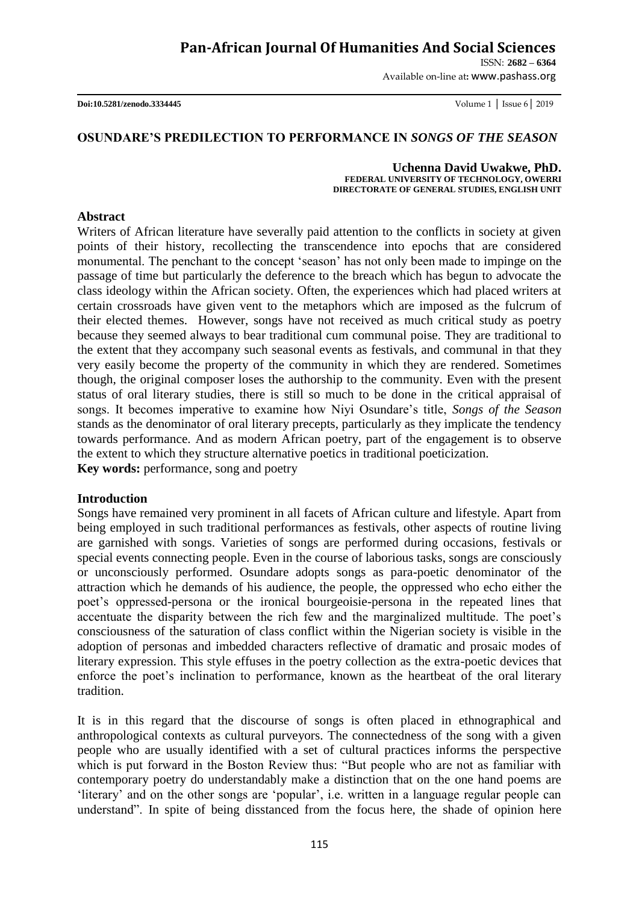ISSN: **2682 – 6364**

Available on-line at**:** www.pashass.org

**Doi:10.5281/zenodo.3334445** Volume 1 │ Issue 6│ 2019

#### **OSUNDARE'S PREDILECTION TO PERFORMANCE IN** *SONGS OF THE SEASON*

**Uchenna David Uwakwe, PhD. FEDERAL UNIVERSITY OF TECHNOLOGY, OWERRI DIRECTORATE OF GENERAL STUDIES, ENGLISH UNIT**

#### **Abstract**

Writers of African literature have severally paid attention to the conflicts in society at given points of their history, recollecting the transcendence into epochs that are considered monumental. The penchant to the concept "season" has not only been made to impinge on the passage of time but particularly the deference to the breach which has begun to advocate the class ideology within the African society. Often, the experiences which had placed writers at certain crossroads have given vent to the metaphors which are imposed as the fulcrum of their elected themes. However, songs have not received as much critical study as poetry because they seemed always to bear traditional cum communal poise. They are traditional to the extent that they accompany such seasonal events as festivals, and communal in that they very easily become the property of the community in which they are rendered. Sometimes though, the original composer loses the authorship to the community. Even with the present status of oral literary studies, there is still so much to be done in the critical appraisal of songs. It becomes imperative to examine how Niyi Osundare"s title, *Songs of the Season* stands as the denominator of oral literary precepts, particularly as they implicate the tendency towards performance. And as modern African poetry, part of the engagement is to observe the extent to which they structure alternative poetics in traditional poeticization. **Key words:** performance, song and poetry

# **Introduction**

Songs have remained very prominent in all facets of African culture and lifestyle. Apart from being employed in such traditional performances as festivals, other aspects of routine living are garnished with songs. Varieties of songs are performed during occasions, festivals or special events connecting people. Even in the course of laborious tasks, songs are consciously or unconsciously performed. Osundare adopts songs as para-poetic denominator of the attraction which he demands of his audience, the people, the oppressed who echo either the poet"s oppressed-persona or the ironical bourgeoisie-persona in the repeated lines that accentuate the disparity between the rich few and the marginalized multitude. The poet"s consciousness of the saturation of class conflict within the Nigerian society is visible in the adoption of personas and imbedded characters reflective of dramatic and prosaic modes of literary expression. This style effuses in the poetry collection as the extra-poetic devices that enforce the poet"s inclination to performance, known as the heartbeat of the oral literary tradition.

It is in this regard that the discourse of songs is often placed in ethnographical and anthropological contexts as cultural purveyors. The connectedness of the song with a given people who are usually identified with a set of cultural practices informs the perspective which is put forward in the Boston Review thus: "But people who are not as familiar with contemporary poetry do understandably make a distinction that on the one hand poems are "literary" and on the other songs are "popular", i.e. written in a language regular people can understand". In spite of being disstanced from the focus here, the shade of opinion here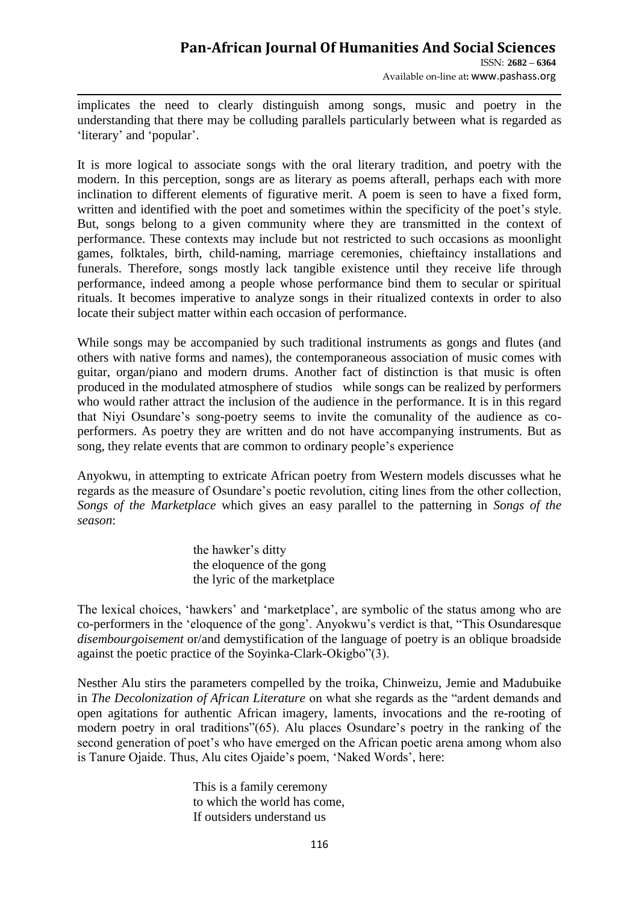# **Pan-African Journal Of Humanities And Social Sciences**  ISSN: **2682 – 6364**

Available on-line at**:** www.pashass.org

implicates the need to clearly distinguish among songs, music and poetry in the understanding that there may be colluding parallels particularly between what is regarded as 'literary' and 'popular'.

It is more logical to associate songs with the oral literary tradition, and poetry with the modern. In this perception, songs are as literary as poems afterall, perhaps each with more inclination to different elements of figurative merit. A poem is seen to have a fixed form, written and identified with the poet and sometimes within the specificity of the poet's style. But, songs belong to a given community where they are transmitted in the context of performance. These contexts may include but not restricted to such occasions as moonlight games, folktales, birth, child-naming, marriage ceremonies, chieftaincy installations and funerals. Therefore, songs mostly lack tangible existence until they receive life through performance, indeed among a people whose performance bind them to secular or spiritual rituals. It becomes imperative to analyze songs in their ritualized contexts in order to also locate their subject matter within each occasion of performance.

While songs may be accompanied by such traditional instruments as gongs and flutes (and others with native forms and names), the contemporaneous association of music comes with guitar, organ/piano and modern drums. Another fact of distinction is that music is often produced in the modulated atmosphere of studios while songs can be realized by performers who would rather attract the inclusion of the audience in the performance. It is in this regard that Niyi Osundare"s song-poetry seems to invite the comunality of the audience as coperformers. As poetry they are written and do not have accompanying instruments. But as song, they relate events that are common to ordinary people"s experience

Anyokwu, in attempting to extricate African poetry from Western models discusses what he regards as the measure of Osundare's poetic revolution, citing lines from the other collection. *Songs of the Marketplace* which gives an easy parallel to the patterning in *Songs of the season*:

> the hawker's ditty the eloquence of the gong the lyric of the marketplace

The lexical choices, 'hawkers' and 'marketplace', are symbolic of the status among who are co-performers in the "eloquence of the gong". Anyokwu"s verdict is that, "This Osundaresque *disembourgoisement* or/and demystification of the language of poetry is an oblique broadside against the poetic practice of the Soyinka-Clark-Okigbo"(3).

Nesther Alu stirs the parameters compelled by the troika, Chinweizu, Jemie and Madubuike in *The Decolonization of African Literature* on what she regards as the "ardent demands and open agitations for authentic African imagery, laments, invocations and the re-rooting of modern poetry in oral traditions"(65). Alu places Osundare"s poetry in the ranking of the second generation of poet's who have emerged on the African poetic arena among whom also is Tanure Ojaide. Thus, Alu cites Ojaide"s poem, "Naked Words", here:

> This is a family ceremony to which the world has come, If outsiders understand us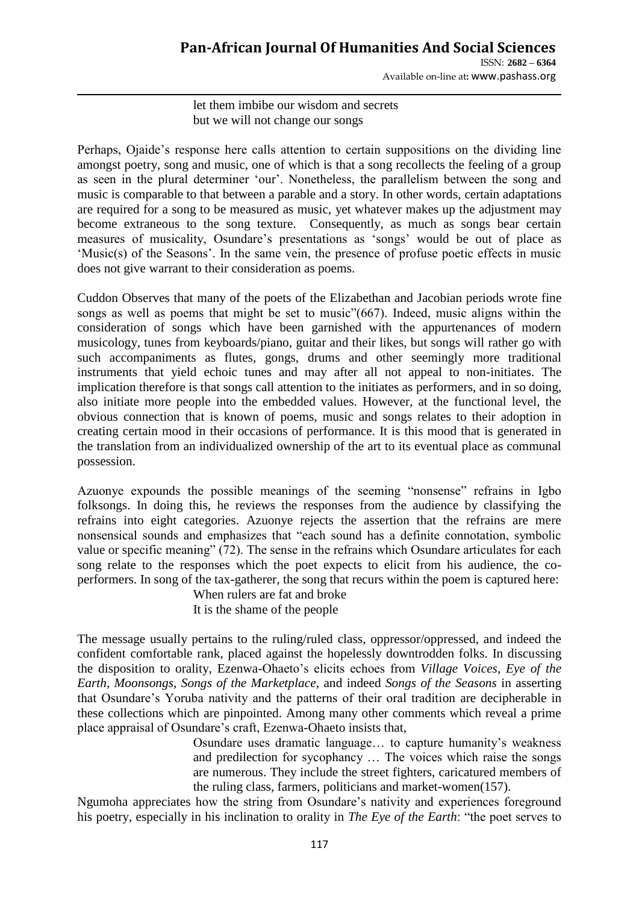ISSN: **2682 – 6364** Available on-line at**:** www.pashass.org

let them imbibe our wisdom and secrets but we will not change our songs

Perhaps, Ojaide"s response here calls attention to certain suppositions on the dividing line amongst poetry, song and music, one of which is that a song recollects the feeling of a group as seen in the plural determiner "our". Nonetheless, the parallelism between the song and music is comparable to that between a parable and a story. In other words, certain adaptations are required for a song to be measured as music, yet whatever makes up the adjustment may become extraneous to the song texture. Consequently, as much as songs bear certain measures of musicality, Osundare"s presentations as "songs" would be out of place as "Music(s) of the Seasons". In the same vein, the presence of profuse poetic effects in music does not give warrant to their consideration as poems.

Cuddon Observes that many of the poets of the Elizabethan and Jacobian periods wrote fine songs as well as poems that might be set to music"(667). Indeed, music aligns within the consideration of songs which have been garnished with the appurtenances of modern musicology, tunes from keyboards/piano, guitar and their likes, but songs will rather go with such accompaniments as flutes, gongs, drums and other seemingly more traditional instruments that yield echoic tunes and may after all not appeal to non-initiates. The implication therefore is that songs call attention to the initiates as performers, and in so doing, also initiate more people into the embedded values. However, at the functional level, the obvious connection that is known of poems, music and songs relates to their adoption in creating certain mood in their occasions of performance. It is this mood that is generated in the translation from an individualized ownership of the art to its eventual place as communal possession.

Azuonye expounds the possible meanings of the seeming "nonsense" refrains in Igbo folksongs. In doing this, he reviews the responses from the audience by classifying the refrains into eight categories. Azuonye rejects the assertion that the refrains are mere nonsensical sounds and emphasizes that "each sound has a definite connotation, symbolic value or specific meaning" (72). The sense in the refrains which Osundare articulates for each song relate to the responses which the poet expects to elicit from his audience, the coperformers. In song of the tax-gatherer, the song that recurs within the poem is captured here:

> When rulers are fat and broke It is the shame of the people

The message usually pertains to the ruling/ruled class, oppressor/oppressed, and indeed the confident comfortable rank, placed against the hopelessly downtrodden folks. In discussing the disposition to orality, Ezenwa-Ohaeto"s elicits echoes from *Village Voices*, *Eye of the Earth, Moonsongs*, *Songs of the Marketplace*, and indeed *Songs of the Seasons* in asserting that Osundare"s Yoruba nativity and the patterns of their oral tradition are decipherable in these collections which are pinpointed. Among many other comments which reveal a prime place appraisal of Osundare"s craft, Ezenwa-Ohaeto insists that,

> Osundare uses dramatic language… to capture humanity"s weakness and predilection for sycophancy … The voices which raise the songs are numerous. They include the street fighters, caricatured members of the ruling class, farmers, politicians and market-women(157).

Ngumoha appreciates how the string from Osundare"s nativity and experiences foreground his poetry, especially in his inclination to orality in *The Eye of the Earth*: "the poet serves to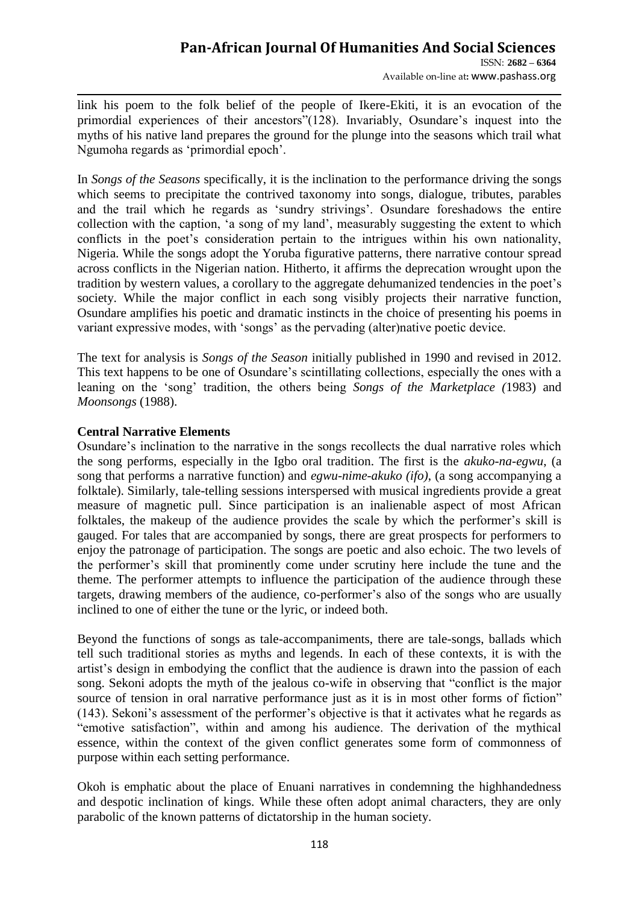Available on-line at**:** www.pashass.org

link his poem to the folk belief of the people of Ikere-Ekiti, it is an evocation of the primordial experiences of their ancestors"(128). Invariably, Osundare"s inquest into the myths of his native land prepares the ground for the plunge into the seasons which trail what Ngumoha regards as "primordial epoch".

In *Songs of the Seasons* specifically, it is the inclination to the performance driving the songs which seems to precipitate the contrived taxonomy into songs, dialogue, tributes, parables and the trail which he regards as "sundry strivings". Osundare foreshadows the entire collection with the caption, "a song of my land", measurably suggesting the extent to which conflicts in the poet's consideration pertain to the intrigues within his own nationality, Nigeria. While the songs adopt the Yoruba figurative patterns, there narrative contour spread across conflicts in the Nigerian nation. Hitherto, it affirms the deprecation wrought upon the tradition by western values, a corollary to the aggregate dehumanized tendencies in the poet"s society. While the major conflict in each song visibly projects their narrative function, Osundare amplifies his poetic and dramatic instincts in the choice of presenting his poems in variant expressive modes, with "songs" as the pervading (alter)native poetic device.

The text for analysis is *Songs of the Season* initially published in 1990 and revised in 2012. This text happens to be one of Osundare's scintillating collections, especially the ones with a leaning on the "song" tradition, the others being *Songs of the Marketplace (*1983) and *Moonsongs* (1988).

### **Central Narrative Elements**

Osundare"s inclination to the narrative in the songs recollects the dual narrative roles which the song performs, especially in the Igbo oral tradition. The first is the *akuko-na-egwu*, (a song that performs a narrative function) and *egwu-nime-akuko (ifo)*, (a song accompanying a folktale). Similarly, tale-telling sessions interspersed with musical ingredients provide a great measure of magnetic pull. Since participation is an inalienable aspect of most African folktales, the makeup of the audience provides the scale by which the performer's skill is gauged. For tales that are accompanied by songs, there are great prospects for performers to enjoy the patronage of participation. The songs are poetic and also echoic. The two levels of the performer"s skill that prominently come under scrutiny here include the tune and the theme. The performer attempts to influence the participation of the audience through these targets, drawing members of the audience, co-performer's also of the songs who are usually inclined to one of either the tune or the lyric, or indeed both.

Beyond the functions of songs as tale-accompaniments, there are tale-songs, ballads which tell such traditional stories as myths and legends. In each of these contexts, it is with the artist"s design in embodying the conflict that the audience is drawn into the passion of each song. Sekoni adopts the myth of the jealous co-wife in observing that "conflict is the major source of tension in oral narrative performance just as it is in most other forms of fiction" (143). Sekoni"s assessment of the performer"s objective is that it activates what he regards as "emotive satisfaction", within and among his audience. The derivation of the mythical essence, within the context of the given conflict generates some form of commonness of purpose within each setting performance.

Okoh is emphatic about the place of Enuani narratives in condemning the highhandedness and despotic inclination of kings. While these often adopt animal characters, they are only parabolic of the known patterns of dictatorship in the human society.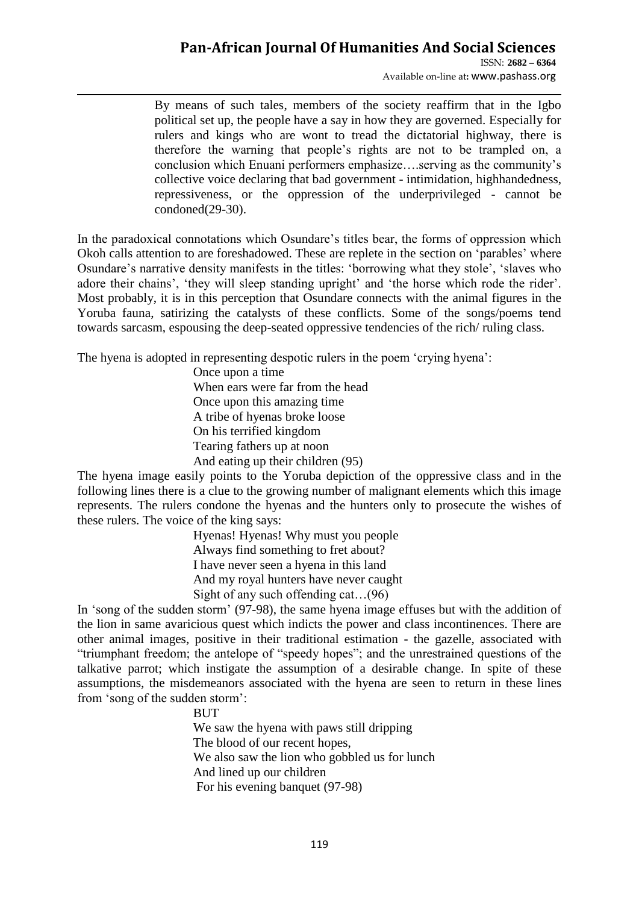ISSN: **2682 – 6364** Available on-line at**:** www.pashass.org

By means of such tales, members of the society reaffirm that in the Igbo political set up, the people have a say in how they are governed. Especially for rulers and kings who are wont to tread the dictatorial highway, there is therefore the warning that people"s rights are not to be trampled on, a conclusion which Enuani performers emphasize….serving as the community"s collective voice declaring that bad government - intimidation, highhandedness, repressiveness, or the oppression of the underprivileged - cannot be condoned(29-30).

In the paradoxical connotations which Osundare"s titles bear, the forms of oppression which Okoh calls attention to are foreshadowed. These are replete in the section on 'parables' where Osundare's narrative density manifests in the titles: 'borrowing what they stole', 'slaves who adore their chains', 'they will sleep standing upright' and 'the horse which rode the rider'. Most probably, it is in this perception that Osundare connects with the animal figures in the Yoruba fauna, satirizing the catalysts of these conflicts. Some of the songs/poems tend towards sarcasm, espousing the deep-seated oppressive tendencies of the rich/ ruling class.

The hyena is adopted in representing despotic rulers in the poem "crying hyena":

Once upon a time When ears were far from the head Once upon this amazing time A tribe of hyenas broke loose On his terrified kingdom Tearing fathers up at noon And eating up their children (95)

The hyena image easily points to the Yoruba depiction of the oppressive class and in the following lines there is a clue to the growing number of malignant elements which this image represents. The rulers condone the hyenas and the hunters only to prosecute the wishes of these rulers. The voice of the king says:

> Hyenas! Hyenas! Why must you people Always find something to fret about? I have never seen a hyena in this land And my royal hunters have never caught Sight of any such offending cat…(96)

In "song of the sudden storm" (97-98), the same hyena image effuses but with the addition of the lion in same avaricious quest which indicts the power and class incontinences. There are other animal images, positive in their traditional estimation - the gazelle, associated with "triumphant freedom; the antelope of "speedy hopes"; and the unrestrained questions of the talkative parrot; which instigate the assumption of a desirable change. In spite of these assumptions, the misdemeanors associated with the hyena are seen to return in these lines from "song of the sudden storm":

BUT

We saw the hyena with paws still dripping The blood of our recent hopes, We also saw the lion who gobbled us for lunch And lined up our children For his evening banquet (97-98)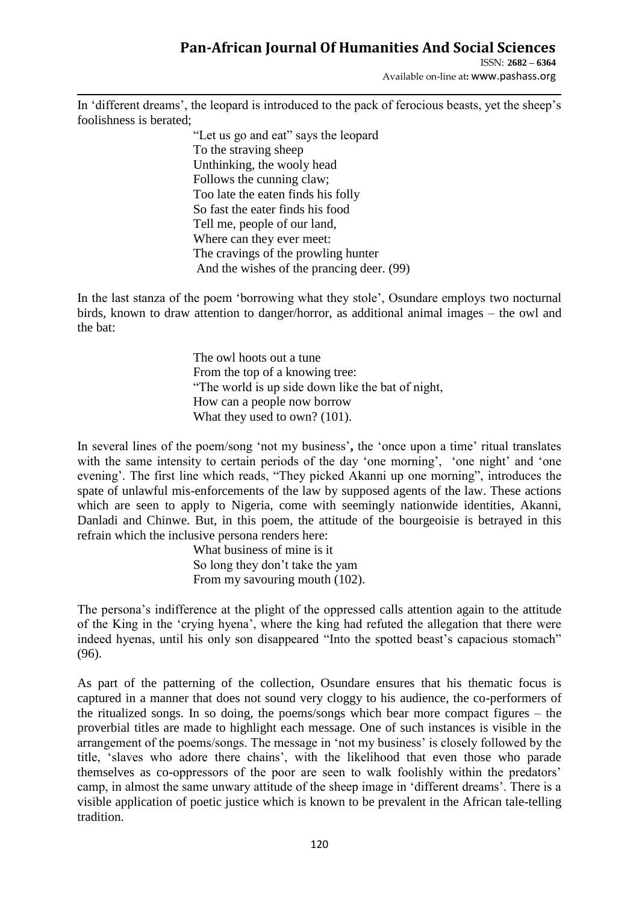ISSN: **2682 – 6364**

Available on-line at**:** www.pashass.org

In 'different dreams', the leopard is introduced to the pack of ferocious beasts, yet the sheep's foolishness is berated;

> "Let us go and eat" says the leopard To the straving sheep Unthinking, the wooly head Follows the cunning claw; Too late the eaten finds his folly So fast the eater finds his food Tell me, people of our land, Where can they ever meet: The cravings of the prowling hunter And the wishes of the prancing deer. (99)

In the last stanza of the poem "borrowing what they stole", Osundare employs two nocturnal birds, known to draw attention to danger/horror, as additional animal images – the owl and the bat:

> The owl hoots out a tune From the top of a knowing tree: "The world is up side down like the bat of night, How can a people now borrow What they used to own? (101).

In several lines of the poem/song 'not my business', the 'once upon a time' ritual translates with the same intensity to certain periods of the day 'one morning', 'one night' and 'one evening". The first line which reads, "They picked Akanni up one morning", introduces the spate of unlawful mis-enforcements of the law by supposed agents of the law. These actions which are seen to apply to Nigeria, come with seemingly nationwide identities, Akanni, Danladi and Chinwe. But, in this poem, the attitude of the bourgeoisie is betrayed in this refrain which the inclusive persona renders here:

> What business of mine is it So long they don"t take the yam From my savouring mouth (102).

The persona"s indifference at the plight of the oppressed calls attention again to the attitude of the King in the "crying hyena", where the king had refuted the allegation that there were indeed hyenas, until his only son disappeared "Into the spotted beast's capacious stomach" (96).

As part of the patterning of the collection, Osundare ensures that his thematic focus is captured in a manner that does not sound very cloggy to his audience, the co-performers of the ritualized songs. In so doing, the poems/songs which bear more compact figures – the proverbial titles are made to highlight each message. One of such instances is visible in the arrangement of the poems/songs. The message in "not my business" is closely followed by the title, "slaves who adore there chains", with the likelihood that even those who parade themselves as co-oppressors of the poor are seen to walk foolishly within the predators" camp, in almost the same unwary attitude of the sheep image in "different dreams". There is a visible application of poetic justice which is known to be prevalent in the African tale-telling tradition.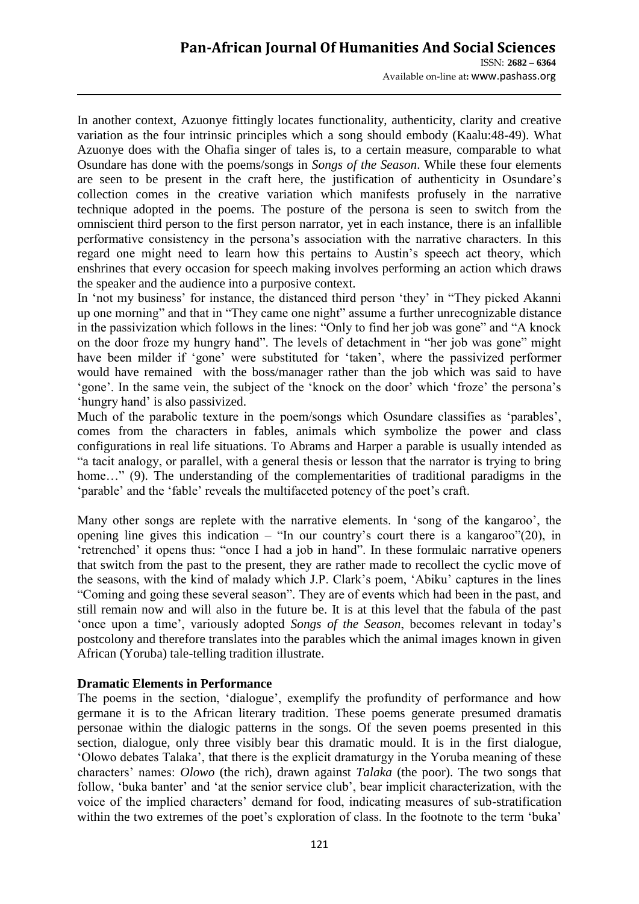In another context, Azuonye fittingly locates functionality, authenticity, clarity and creative variation as the four intrinsic principles which a song should embody (Kaalu:48-49). What Azuonye does with the Ohafia singer of tales is, to a certain measure, comparable to what Osundare has done with the poems/songs in *Songs of the Season*. While these four elements are seen to be present in the craft here, the justification of authenticity in Osundare"s collection comes in the creative variation which manifests profusely in the narrative technique adopted in the poems. The posture of the persona is seen to switch from the omniscient third person to the first person narrator, yet in each instance, there is an infallible performative consistency in the persona"s association with the narrative characters. In this regard one might need to learn how this pertains to Austin"s speech act theory, which enshrines that every occasion for speech making involves performing an action which draws the speaker and the audience into a purposive context.

In 'not my business' for instance, the distanced third person 'they' in "They picked Akanni up one morning" and that in "They came one night" assume a further unrecognizable distance in the passivization which follows in the lines: "Only to find her job was gone" and "A knock on the door froze my hungry hand". The levels of detachment in "her job was gone" might have been milder if 'gone' were substituted for 'taken', where the passivized performer would have remained with the boss/manager rather than the job which was said to have "gone". In the same vein, the subject of the "knock on the door" which "froze" the persona's "hungry hand" is also passivized.

Much of the parabolic texture in the poem/songs which Osundare classifies as 'parables', comes from the characters in fables, animals which symbolize the power and class configurations in real life situations. To Abrams and Harper a parable is usually intended as "a tacit analogy, or parallel, with a general thesis or lesson that the narrator is trying to bring home..." (9). The understanding of the complementarities of traditional paradigms in the 'parable' and the 'fable' reveals the multifaceted potency of the poet's craft.

Many other songs are replete with the narrative elements. In "song of the kangaroo", the opening line gives this indication – "In our country's court there is a kangaroo"(20), in "retrenched" it opens thus: "once I had a job in hand". In these formulaic narrative openers that switch from the past to the present, they are rather made to recollect the cyclic move of the seasons, with the kind of malady which J.P. Clark"s poem, "Abiku" captures in the lines "Coming and going these several season". They are of events which had been in the past, and still remain now and will also in the future be. It is at this level that the fabula of the past "once upon a time", variously adopted *Songs of the Season*, becomes relevant in today"s postcolony and therefore translates into the parables which the animal images known in given African (Yoruba) tale-telling tradition illustrate.

### **Dramatic Elements in Performance**

The poems in the section, 'dialogue', exemplify the profundity of performance and how germane it is to the African literary tradition. These poems generate presumed dramatis personae within the dialogic patterns in the songs. Of the seven poems presented in this section, dialogue, only three visibly bear this dramatic mould. It is in the first dialogue, "Olowo debates Talaka", that there is the explicit dramaturgy in the Yoruba meaning of these characters" names: *Olowo* (the rich), drawn against *Talaka* (the poor). The two songs that follow, 'buka banter' and 'at the senior service club', bear implicit characterization, with the voice of the implied characters" demand for food, indicating measures of sub-stratification within the two extremes of the poet's exploration of class. In the footnote to the term 'buka'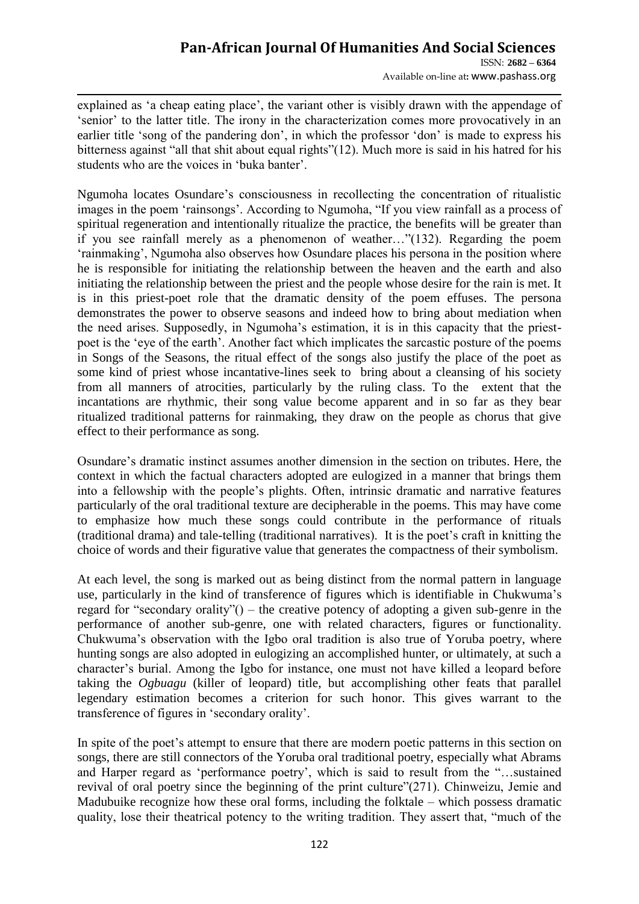ISSN: **2682 – 6364** Available on-line at**:** www.pashass.org

explained as 'a cheap eating place', the variant other is visibly drawn with the appendage of "senior" to the latter title. The irony in the characterization comes more provocatively in an earlier title 'song of the pandering don', in which the professor 'don' is made to express his bitterness against "all that shit about equal rights"(12). Much more is said in his hatred for his students who are the voices in 'buka banter'.

Ngumoha locates Osundare"s consciousness in recollecting the concentration of ritualistic images in the poem "rainsongs". According to Ngumoha, "If you view rainfall as a process of spiritual regeneration and intentionally ritualize the practice, the benefits will be greater than if you see rainfall merely as a phenomenon of weather…"(132). Regarding the poem "rainmaking", Ngumoha also observes how Osundare places his persona in the position where he is responsible for initiating the relationship between the heaven and the earth and also initiating the relationship between the priest and the people whose desire for the rain is met. It is in this priest-poet role that the dramatic density of the poem effuses. The persona demonstrates the power to observe seasons and indeed how to bring about mediation when the need arises. Supposedly, in Ngumoha"s estimation, it is in this capacity that the priestpoet is the "eye of the earth". Another fact which implicates the sarcastic posture of the poems in Songs of the Seasons, the ritual effect of the songs also justify the place of the poet as some kind of priest whose incantative-lines seek to bring about a cleansing of his society from all manners of atrocities, particularly by the ruling class. To the extent that the incantations are rhythmic, their song value become apparent and in so far as they bear ritualized traditional patterns for rainmaking, they draw on the people as chorus that give effect to their performance as song.

Osundare"s dramatic instinct assumes another dimension in the section on tributes. Here, the context in which the factual characters adopted are eulogized in a manner that brings them into a fellowship with the people"s plights. Often, intrinsic dramatic and narrative features particularly of the oral traditional texture are decipherable in the poems. This may have come to emphasize how much these songs could contribute in the performance of rituals (traditional drama) and tale-telling (traditional narratives). It is the poet"s craft in knitting the choice of words and their figurative value that generates the compactness of their symbolism.

At each level, the song is marked out as being distinct from the normal pattern in language use, particularly in the kind of transference of figures which is identifiable in Chukwuma"s regard for "secondary orality"() – the creative potency of adopting a given sub-genre in the performance of another sub-genre, one with related characters, figures or functionality. Chukwuma"s observation with the Igbo oral tradition is also true of Yoruba poetry, where hunting songs are also adopted in eulogizing an accomplished hunter, or ultimately, at such a character"s burial. Among the Igbo for instance, one must not have killed a leopard before taking the *Ogbuagu* (killer of leopard) title, but accomplishing other feats that parallel legendary estimation becomes a criterion for such honor. This gives warrant to the transference of figures in "secondary orality".

In spite of the poet's attempt to ensure that there are modern poetic patterns in this section on songs, there are still connectors of the Yoruba oral traditional poetry, especially what Abrams and Harper regard as 'performance poetry', which is said to result from the "...sustained revival of oral poetry since the beginning of the print culture"(271). Chinweizu, Jemie and Madubuike recognize how these oral forms, including the folktale – which possess dramatic quality, lose their theatrical potency to the writing tradition. They assert that, "much of the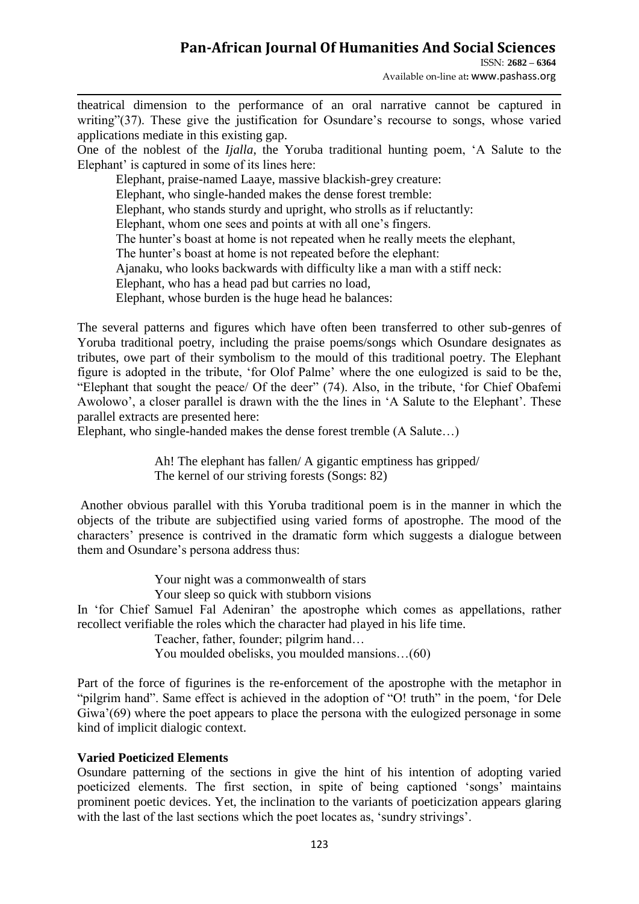ISSN: **2682 – 6364**

Available on-line at**:** www.pashass.org

theatrical dimension to the performance of an oral narrative cannot be captured in writing"(37). These give the justification for Osundare's recourse to songs, whose varied applications mediate in this existing gap.

One of the noblest of the *Ijalla*, the Yoruba traditional hunting poem, "A Salute to the Elephant' is captured in some of its lines here:

Elephant, praise-named Laaye, massive blackish-grey creature: Elephant, who single-handed makes the dense forest tremble: Elephant, who stands sturdy and upright, who strolls as if reluctantly: Elephant, whom one sees and points at with all one"s fingers. The hunter's boast at home is not repeated when he really meets the elephant, The hunter's boast at home is not repeated before the elephant: Ajanaku, who looks backwards with difficulty like a man with a stiff neck: Elephant, who has a head pad but carries no load, Elephant, whose burden is the huge head he balances:

The several patterns and figures which have often been transferred to other sub-genres of Yoruba traditional poetry, including the praise poems/songs which Osundare designates as tributes, owe part of their symbolism to the mould of this traditional poetry. The Elephant figure is adopted in the tribute, "for Olof Palme" where the one eulogized is said to be the, "Elephant that sought the peace/ Of the deer" (74). Also, in the tribute, "for Chief Obafemi Awolowo', a closer parallel is drawn with the the lines in 'A Salute to the Elephant'. These parallel extracts are presented here:

Elephant, who single-handed makes the dense forest tremble (A Salute…)

Ah! The elephant has fallen/ A gigantic emptiness has gripped/ The kernel of our striving forests (Songs: 82)

Another obvious parallel with this Yoruba traditional poem is in the manner in which the objects of the tribute are subjectified using varied forms of apostrophe. The mood of the characters" presence is contrived in the dramatic form which suggests a dialogue between them and Osundare's persona address thus:

Your night was a commonwealth of stars

Your sleep so quick with stubborn visions

In "for Chief Samuel Fal Adeniran" the apostrophe which comes as appellations, rather recollect verifiable the roles which the character had played in his life time.

Teacher, father, founder; pilgrim hand…

You moulded obelisks, you moulded mansions…(60)

Part of the force of figurines is the re-enforcement of the apostrophe with the metaphor in "pilgrim hand". Same effect is achieved in the adoption of "O! truth" in the poem, 'for Dele Giwa'(69) where the poet appears to place the persona with the eulogized personage in some kind of implicit dialogic context.

### **Varied Poeticized Elements**

Osundare patterning of the sections in give the hint of his intention of adopting varied poeticized elements. The first section, in spite of being captioned "songs" maintains prominent poetic devices. Yet, the inclination to the variants of poeticization appears glaring with the last of the last sections which the poet locates as, 'sundry strivings'.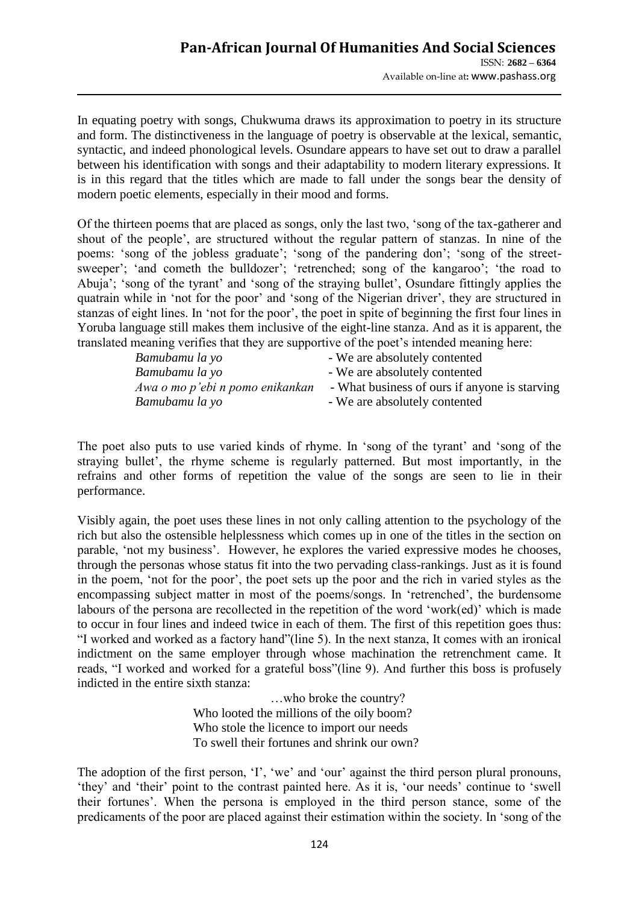In equating poetry with songs, Chukwuma draws its approximation to poetry in its structure and form. The distinctiveness in the language of poetry is observable at the lexical, semantic, syntactic, and indeed phonological levels. Osundare appears to have set out to draw a parallel between his identification with songs and their adaptability to modern literary expressions. It is in this regard that the titles which are made to fall under the songs bear the density of modern poetic elements, especially in their mood and forms.

Of the thirteen poems that are placed as songs, only the last two, "song of the tax-gatherer and shout of the people", are structured without the regular pattern of stanzas. In nine of the poems: 'song of the jobless graduate'; 'song of the pandering don'; 'song of the streetsweeper'; 'and cometh the bulldozer'; 'retrenched; song of the kangaroo'; 'the road to Abuja'; 'song of the tyrant' and 'song of the straying bullet', Osundare fittingly applies the quatrain while in "not for the poor" and "song of the Nigerian driver", they are structured in stanzas of eight lines. In "not for the poor", the poet in spite of beginning the first four lines in Yoruba language still makes them inclusive of the eight-line stanza. And as it is apparent, the translated meaning verifies that they are supportive of the poet"s intended meaning here:

| Bamubamu la yo                  | - We are absolutely contented                 |
|---------------------------------|-----------------------------------------------|
| Bamubamu la yo                  | - We are absolutely contented                 |
| Awa o mo p'ebi n pomo enikankan | - What business of ours if anyone is starving |
| Bamubamu la yo                  | - We are absolutely contented                 |

The poet also puts to use varied kinds of rhyme. In "song of the tyrant" and "song of the straying bullet", the rhyme scheme is regularly patterned. But most importantly, in the refrains and other forms of repetition the value of the songs are seen to lie in their performance.

Visibly again, the poet uses these lines in not only calling attention to the psychology of the rich but also the ostensible helplessness which comes up in one of the titles in the section on parable, "not my business". However, he explores the varied expressive modes he chooses, through the personas whose status fit into the two pervading class-rankings. Just as it is found in the poem, "not for the poor", the poet sets up the poor and the rich in varied styles as the encompassing subject matter in most of the poems/songs. In "retrenched", the burdensome labours of the persona are recollected in the repetition of the word 'work(ed)' which is made to occur in four lines and indeed twice in each of them. The first of this repetition goes thus: "I worked and worked as a factory hand"(line 5). In the next stanza, It comes with an ironical indictment on the same employer through whose machination the retrenchment came. It reads, "I worked and worked for a grateful boss"(line 9). And further this boss is profusely indicted in the entire sixth stanza:

> …who broke the country? Who looted the millions of the oily boom? Who stole the licence to import our needs To swell their fortunes and shrink our own?

The adoption of the first person, 'I', 'we' and 'our' against the third person plural pronouns, 'they' and 'their' point to the contrast painted here. As it is, 'our needs' continue to 'swell their fortunes". When the persona is employed in the third person stance, some of the predicaments of the poor are placed against their estimation within the society. In "song of the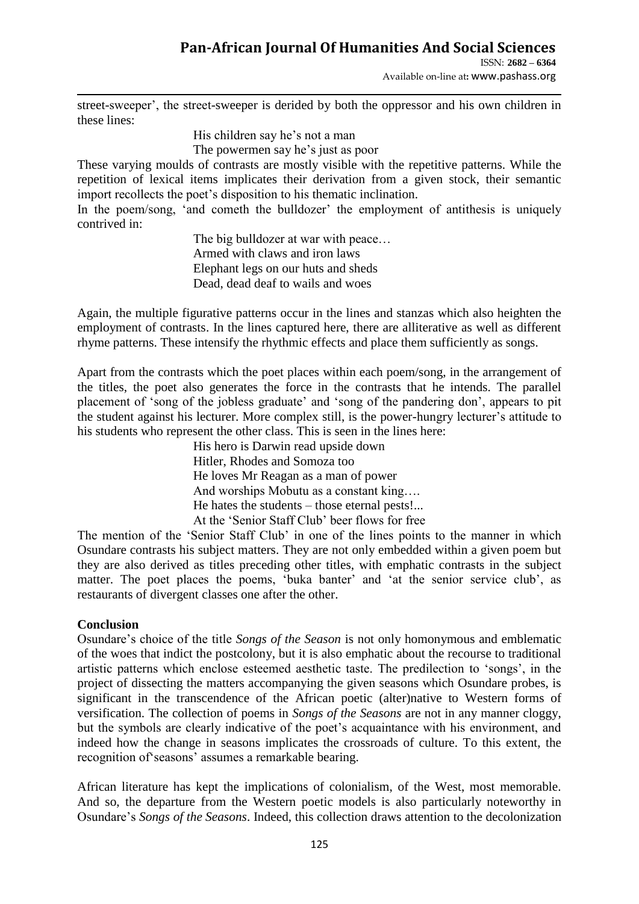ISSN: **2682 – 6364**

Available on-line at**:** www.pashass.org

street-sweeper", the street-sweeper is derided by both the oppressor and his own children in these lines:

His children say he's not a man

The powermen say he's just as poor

These varying moulds of contrasts are mostly visible with the repetitive patterns. While the repetition of lexical items implicates their derivation from a given stock, their semantic import recollects the poet's disposition to his thematic inclination.

In the poem/song, 'and cometh the bulldozer' the employment of antithesis is uniquely contrived in:

> The big bulldozer at war with peace… Armed with claws and iron laws Elephant legs on our huts and sheds Dead, dead deaf to wails and woes

Again, the multiple figurative patterns occur in the lines and stanzas which also heighten the employment of contrasts. In the lines captured here, there are alliterative as well as different rhyme patterns. These intensify the rhythmic effects and place them sufficiently as songs.

Apart from the contrasts which the poet places within each poem/song, in the arrangement of the titles, the poet also generates the force in the contrasts that he intends. The parallel placement of "song of the jobless graduate" and "song of the pandering don", appears to pit the student against his lecturer. More complex still, is the power-hungry lecturer"s attitude to his students who represent the other class. This is seen in the lines here:

> His hero is Darwin read upside down Hitler, Rhodes and Somoza too He loves Mr Reagan as a man of power And worships Mobutu as a constant king…. He hates the students – those eternal pests!... At the "Senior Staff Club" beer flows for free

The mention of the 'Senior Staff Club' in one of the lines points to the manner in which Osundare contrasts his subject matters. They are not only embedded within a given poem but they are also derived as titles preceding other titles, with emphatic contrasts in the subject matter. The poet places the poems, 'buka banter' and 'at the senior service club', as restaurants of divergent classes one after the other.

#### **Conclusion**

Osundare"s choice of the title *Songs of the Season* is not only homonymous and emblematic of the woes that indict the postcolony, but it is also emphatic about the recourse to traditional artistic patterns which enclose esteemed aesthetic taste. The predilection to "songs", in the project of dissecting the matters accompanying the given seasons which Osundare probes, is significant in the transcendence of the African poetic (alter)native to Western forms of versification. The collection of poems in *Songs of the Seasons* are not in any manner cloggy, but the symbols are clearly indicative of the poet"s acquaintance with his environment, and indeed how the change in seasons implicates the crossroads of culture. To this extent, the recognition of seasons' assumes a remarkable bearing.

African literature has kept the implications of colonialism, of the West, most memorable. And so, the departure from the Western poetic models is also particularly noteworthy in Osundare"s *Songs of the Seasons*. Indeed, this collection draws attention to the decolonization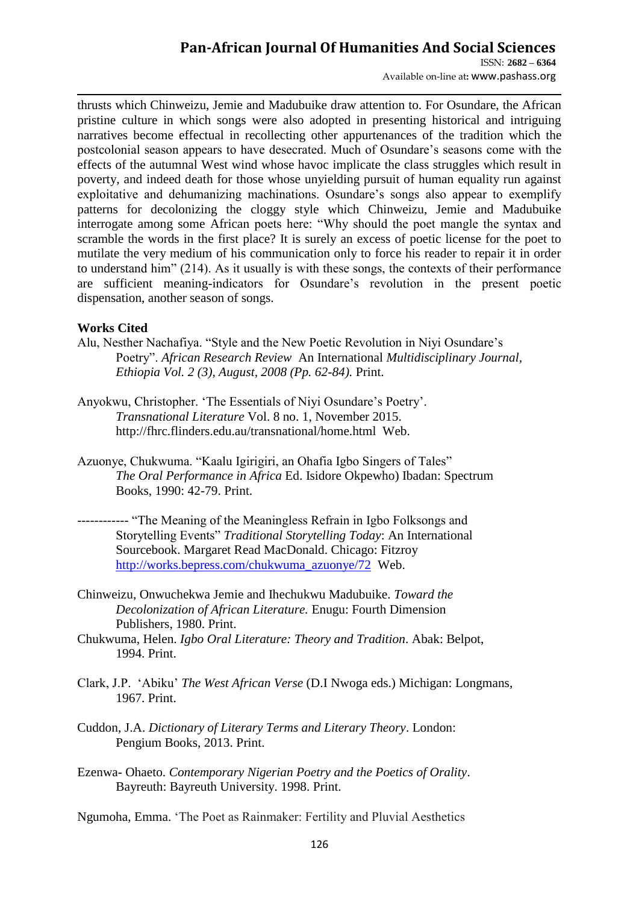ISSN: **2682 – 6364** Available on-line at**:** www.pashass.org

thrusts which Chinweizu, Jemie and Madubuike draw attention to. For Osundare, the African pristine culture in which songs were also adopted in presenting historical and intriguing narratives become effectual in recollecting other appurtenances of the tradition which the postcolonial season appears to have desecrated. Much of Osundare"s seasons come with the effects of the autumnal West wind whose havoc implicate the class struggles which result in poverty, and indeed death for those whose unyielding pursuit of human equality run against exploitative and dehumanizing machinations. Osundare"s songs also appear to exemplify patterns for decolonizing the cloggy style which Chinweizu, Jemie and Madubuike interrogate among some African poets here: "Why should the poet mangle the syntax and scramble the words in the first place? It is surely an excess of poetic license for the poet to mutilate the very medium of his communication only to force his reader to repair it in order to understand him" (214). As it usually is with these songs, the contexts of their performance are sufficient meaning-indicators for Osundare"s revolution in the present poetic dispensation, another season of songs.

#### **Works Cited**

- Alu, Nesther Nachafiya. "Style and the New Poetic Revolution in Niyi Osundare"s Poetry". *African Research Review* An International *Multidisciplinary Journal, Ethiopia Vol. 2 (3), August, 2008 (Pp. 62-84).* Print.
- Anyokwu, Christopher. 'The Essentials of Niyi Osundare's Poetry'. *Transnational Literature* Vol. 8 no. 1, November 2015. http://fhrc.flinders.edu.au/transnational/home.html Web.
- Azuonye, Chukwuma. "Kaalu Igirigiri, an Ohafia Igbo Singers of Tales" *The Oral Performance in Africa* Ed. Isidore Okpewho) Ibadan: Spectrum Books, 1990: 42-79. Print.
- ------------ "The Meaning of the Meaningless Refrain in Igbo Folksongs and Storytelling Events" *Traditional Storytelling Today*: An International Sourcebook. Margaret Read MacDonald. Chicago: Fitzroy [http://works.bepress.com/chukwuma\\_azuonye/72](http://works.bepress.com/chukwuma_azuonye/72) Web.
- Chinweizu, Onwuchekwa Jemie and Ihechukwu Madubuike. *Toward the Decolonization of African Literature.* Enugu: Fourth Dimension Publishers, 1980. Print.
- Chukwuma, Helen. *Igbo Oral Literature: Theory and Tradition*. Abak: Belpot, 1994. Print.
- Clark, J.P. "Abiku" *The West African Verse* (D.I Nwoga eds.) Michigan: Longmans, 1967. Print.
- Cuddon, J.A. *Dictionary of Literary Terms and Literary Theory*. London: Pengium Books, 2013. Print.
- Ezenwa- Ohaeto. *Contemporary Nigerian Poetry and the Poetics of Orality*. Bayreuth: Bayreuth University. 1998. Print.

Ngumoha, Emma. "The Poet as Rainmaker: Fertility and Pluvial Aesthetics